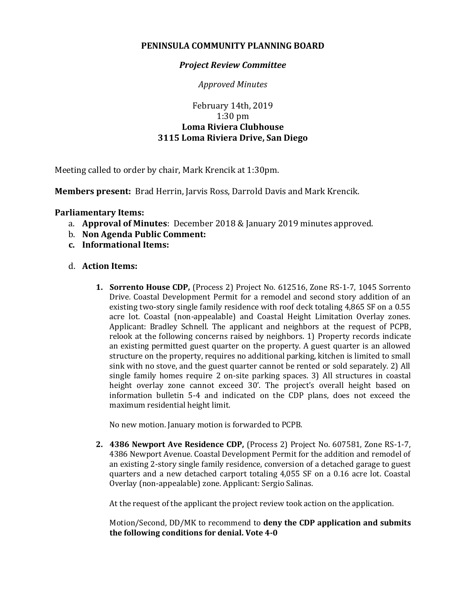## **PENINSULA COMMUNITY PLANNING BOARD**

## *Project Review Committee*

*Approved Minutes*

## February 14th, 2019 1:30 pm **Loma Riviera Clubhouse 3115 Loma Riviera Drive, San Diego**

Meeting called to order by chair, Mark Krencik at 1:30pm.

**Members present:** Brad Herrin, Jarvis Ross, Darrold Davis and Mark Krencik.

## **Parliamentary Items:**

- a. **Approval of Minutes**: December 2018 & January 2019 minutes approved.
- b. **Non Agenda Public Comment:**
- **c. Informational Items:**
- d. **Action Items:**
	- **1. Sorrento House CDP,** (Process 2) Project No. 612516, Zone RS-1-7, 1045 Sorrento Drive. Coastal Development Permit for a remodel and second story addition of an existing two-story single family residence with roof deck totaling 4,865 SF on a 0.55 acre lot. Coastal (non-appealable) and Coastal Height Limitation Overlay zones. Applicant: Bradley Schnell. The applicant and neighbors at the request of PCPB, relook at the following concerns raised by neighbors. 1) Property records indicate an existing permitted guest quarter on the property. A guest quarter is an allowed structure on the property, requires no additional parking, kitchen is limited to small sink with no stove, and the guest quarter cannot be rented or sold separately. 2) All single family homes require 2 on-site parking spaces. 3) All structures in coastal height overlay zone cannot exceed 30'. The project's overall height based on information bulletin 5-4 and indicated on the CDP plans, does not exceed the maximum residential height limit.

No new motion. January motion is forwarded to PCPB.

**2. 4386 Newport Ave Residence CDP,** (Process 2) Project No. 607581, Zone RS-1-7, 4386 Newport Avenue. Coastal Development Permit for the addition and remodel of an existing 2-story single family residence, conversion of a detached garage to guest quarters and a new detached carport totaling 4,055 SF on a 0.16 acre lot. Coastal Overlay (non-appealable) zone. Applicant: Sergio Salinas.

At the request of the applicant the project review took action on the application.

Motion/Second, DD/MK to recommend to **deny the CDP application and submits the following conditions for denial. Vote 4-0**